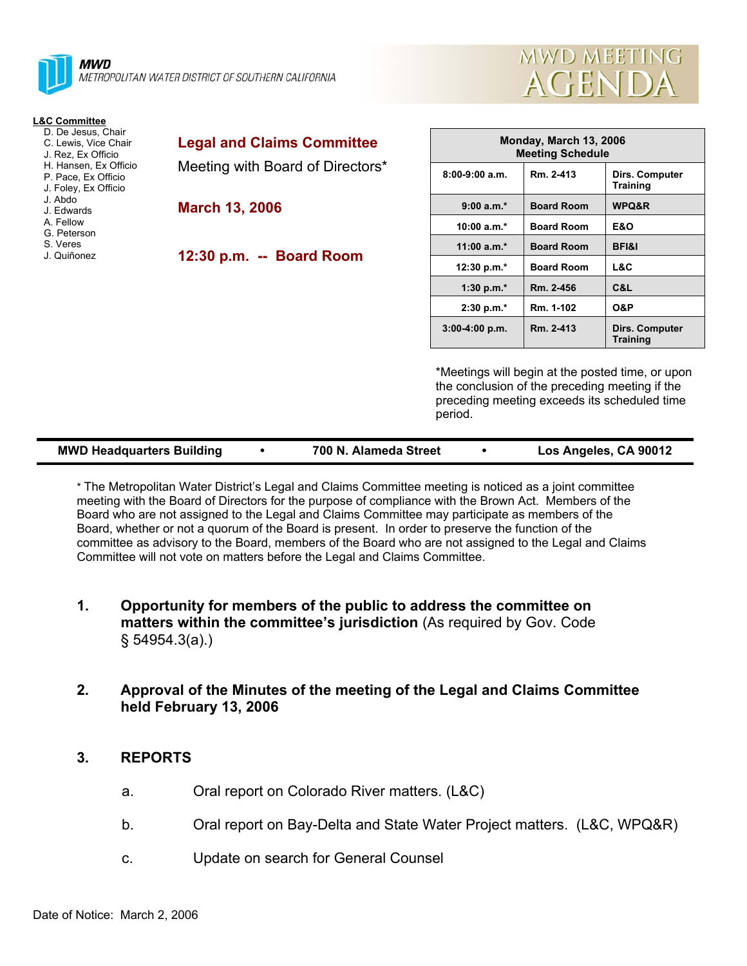



| <b>L&amp;C Committee</b>                                             |                                   |                    |  |
|----------------------------------------------------------------------|-----------------------------------|--------------------|--|
| D. De Jesus, Chair<br>C. Lewis, Vice Chair<br>J. Rez. Ex Officio     | <b>Legal and Claims Committee</b> | <b>Monda</b><br>Me |  |
| H. Hansen, Ex Officio<br>P. Pace, Ex Officio<br>J. Foley, Ex Officio | Meeting with Board of Directors*  | $8:00-9:00$ a.m.   |  |
| J. Abdo<br>J. Edwards                                                | <b>March 13, 2006</b>             | $9:00 a.m.*$       |  |
| A. Fellow<br>G. Peterson                                             |                                   | $10:00 a.m.*$      |  |
| S. Veres<br>J. Quiñonez                                              | 12:30 p.m. -- Board Room          | 11:00 $a.m.*$      |  |
|                                                                      |                                   | 12:30 p.m.*        |  |
|                                                                      |                                   | 1:30 p.m. $*$      |  |
|                                                                      |                                   | $2:30 p.m.*$       |  |
|                                                                      |                                   | 8.88.4.88          |  |

| Monday, March 13, 2006<br><b>Meeting Schedule</b> |                   |                                   |  |  |  |
|---------------------------------------------------|-------------------|-----------------------------------|--|--|--|
| $8:00-9:00$ a.m.                                  | Rm. 2-413         | Dirs. Computer<br><b>Training</b> |  |  |  |
| $9:00 a.m.*$                                      | <b>Board Room</b> | WPQ&R                             |  |  |  |
| 10:00 $a.m.*$                                     | <b>Board Room</b> | E&O                               |  |  |  |
| $11:00 a.m.*$                                     | <b>Board Room</b> | <b>BFI&amp;I</b>                  |  |  |  |
| 12:30 p.m. $*$                                    | <b>Board Room</b> | L&C                               |  |  |  |
| 1:30 p.m. $*$                                     | Rm. 2-456         | C&L                               |  |  |  |
| $2:30 p.m.*$                                      | Rm. 1-102         | O&P                               |  |  |  |
| $3:00-4:00 p.m.$                                  | Rm. 2-413         | Dirs. Computer<br><b>Training</b> |  |  |  |

\*Meetings will begin at the posted time, or upon the conclusion of the preceding meeting if the preceding meeting exceeds its scheduled time period.

| <b>MWD Headquarters Building</b> |  | 700 N. Alameda Street |  | Los Angeles, CA 90012 |
|----------------------------------|--|-----------------------|--|-----------------------|
|----------------------------------|--|-----------------------|--|-----------------------|

\* The Metropolitan Water District's Legal and Claims Committee meeting is noticed as a joint committee meeting with the Board of Directors for the purpose of compliance with the Brown Act. Members of the Board who are not assigned to the Legal and Claims Committee may participate as members of the Board, whether or not a quorum of the Board is present. In order to preserve the function of the committee as advisory to the Board, members of the Board who are not assigned to the Legal and Claims Committee will not vote on matters before the Legal and Claims Committee.

- **1. Opportunity for members of the public to address the committee on matters within the committee's jurisdiction** (As required by Gov. Code § 54954.3(a).)
- **2. Approval of the Minutes of the meeting of the Legal and Claims Committee held February 13, 2006**

#### **3. REPORTS**

- a. Oral report on Colorado River matters. (L&C)
- b. Oral report on Bay-Delta and State Water Project matters. (L&C, WPQ&R)
- c. Update on search for General Counsel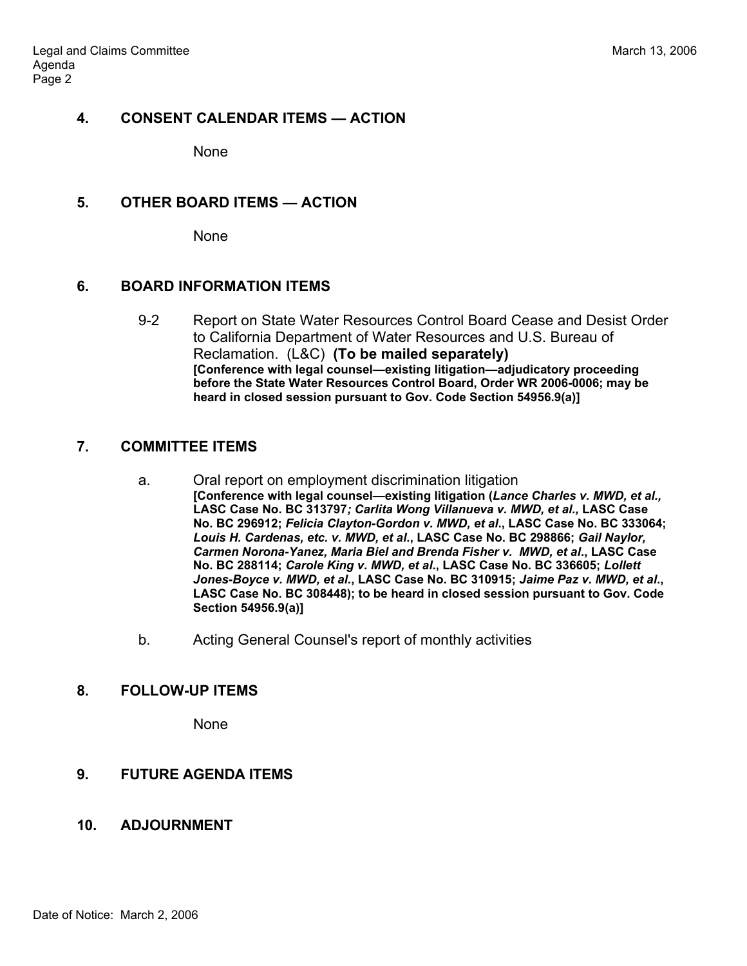#### **4. CONSENT CALENDAR ITEMS — ACTION**

None

#### **5. OTHER BOARD ITEMS — ACTION**

None

#### **6. BOARD INFORMATION ITEMS**

9-2 Report on State Water Resources Control Board Cease and Desist Order to California Department of Water Resources and U.S. Bureau of Reclamation. (L&C) **(To be mailed separately) [Conference with legal counsel—existing litigation—adjudicatory proceeding before the State Water Resources Control Board, Order WR 2006-0006; may be heard in closed session pursuant to Gov. Code Section 54956.9(a)]** 

# **7. COMMITTEE ITEMS**

- a. Oral report on employment discrimination litigation **[Conference with legal counsel—existing litigation (***Lance Charles v. MWD, et al.,*  **LASC Case No. BC 313797***; Carlita Wong Villanueva v. MWD, et al.,* **LASC Case No. BC 296912;** *Felicia Clayton-Gordon v. MWD, et al***., LASC Case No. BC 333064;**  *Louis H. Cardenas, etc. v. MWD, et al***., LASC Case No. BC 298866;** *Gail Naylor, Carmen Norona-Yanez, Maria Biel and Brenda Fisher v. MWD, et al***., LASC Case No. BC 288114;** *Carole King v. MWD, et al***., LASC Case No. BC 336605;** *Lollett Jones-Boyce v. MWD, et al***., LASC Case No. BC 310915;** *Jaime Paz v. MWD, et al***., LASC Case No. BC 308448); to be heard in closed session pursuant to Gov. Code Section 54956.9(a)]**
- b. Acting General Counsel's report of monthly activities

# **8. FOLLOW-UP ITEMS**

None

# **9. FUTURE AGENDA ITEMS**

# **10. ADJOURNMENT**